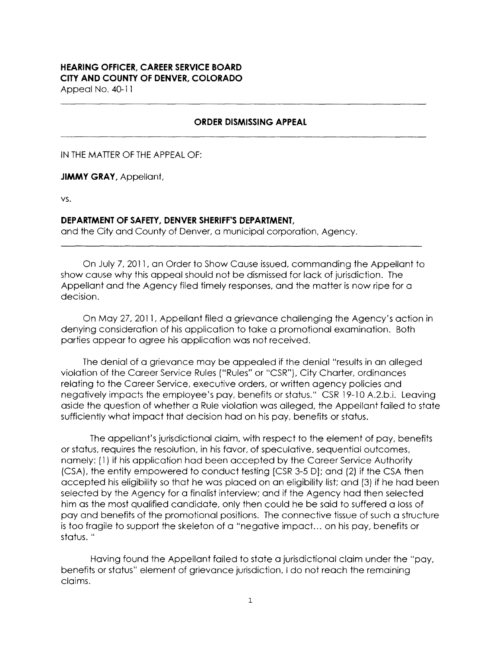# **HEARING OFFICER, CAREER SERVICE BOARD CITY AND COUNTY OF DENVER, COLORADO**

Appeal No. 40-11

#### **ORDER DISMISSING APPEAL**

IN THE MATTER OF THE APPEAL OF:

**JIMMY GRAY,** Appellant,

VS.

### **DEPARTMENT OF SAFETY, DENVER SHERIFF'S DEPARTMENT,**

and the City and County of Denver, a municipal corporation, Agency.

On July 7, 2011, an Order to Show Cause issued, commanding the Appellant to show cause why this appeal should not be dismissed for lack of jurisdiction. The Appellant and the Agency filed timely responses, and the matter is now ripe for a decision.

On May 27, 2011, Appellant filed a grievance challenging the Agency's action in denying consideration of his application to take a promotional examination. Both parties appear to agree his application was not received.

The denial of a grievance may be appealed if the denial "results in an alleged violation of the Career Service Rules ("Rules" or "CSR"), City Charter, ordinances relating to the Career Service, executive orders, or written agency policies and negatively impacts the employee's pay, benefits or status." CSR 19-10 A.2.b.i. Leaving aside the question of whether a Rule violation was alleged, the Appellant failed to state sufficiently what impact that decision had on his pay, benefits or status.

The appellant's jurisdictional claim, with respect to the element of pay, benefits or status, requires the resolution, in his favor, of speculative, sequential outcomes, namely: ( 1) if his application had been accepted by the Career Service Authority (CSA), the entity empowered to conduct testing [CSR 3-5 DJ; and (2) if the CSA then accepted his eligibility so that he was placed on an eligibility list; and (3) if he had been selected by the Agency for a finalist interview; and if the Agency had then selected him as the most qualified candidate, only then could he be said to suffered a loss of pay and benefits of the promotional positions. The connective tissue of such a structure is too fragile to support the skeleton of a "negative impact... on his pay, benefits or status. "

Having found the Appellant failed to state a jurisdictional claim under the "pay, benefits or status" element of grievance jurisdiction, I do not reach the remaining claims.